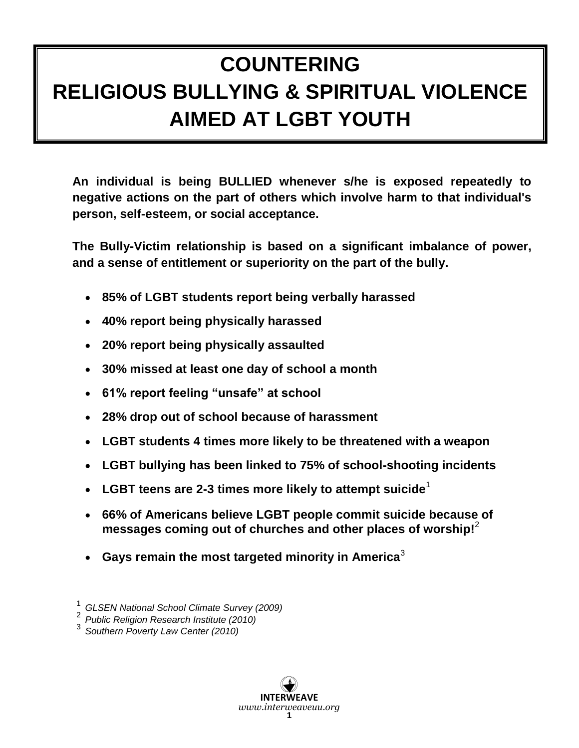# **COUNTERING RELIGIOUS BULLYING & SPIRITUAL VIOLENCE AIMED AT LGBT YOUTH**

**An individual is being BULLIED whenever s/he is exposed repeatedly to negative actions on the part of others which involve harm to that individual's person, self-esteem, or social acceptance.** 

**The Bully-Victim relationship is based on a significant imbalance of power, and a sense of entitlement or superiority on the part of the bully.** 

- **85% of LGBT students report being verbally harassed**
- **40% report being physically harassed**
- **20% report being physically assaulted**
- **30% missed at least one day of school a month**
- **61% report feeling "unsafe" at school**
- **28% drop out of school because of harassment**
- **LGBT students 4 times more likely to be threatened with a weapon**
- **LGBT bullying has been linked to 75% of school-shooting incidents**
- **LGBT teens are 2-3 times more likely to attempt suicide**<sup>1</sup>
- **66% of Americans believe LGBT people commit suicide because of messages coming out of churches and other places of worship!**<sup>2</sup>
- **Gays remain the most targeted minority in America<sup>3</sup>**

<sup>3</sup>*Southern Poverty Law Center (2010)*



<sup>1</sup>*GLSEN National School Climate Survey (2009)*

<sup>2</sup>*Public Religion Research Institute (2010)*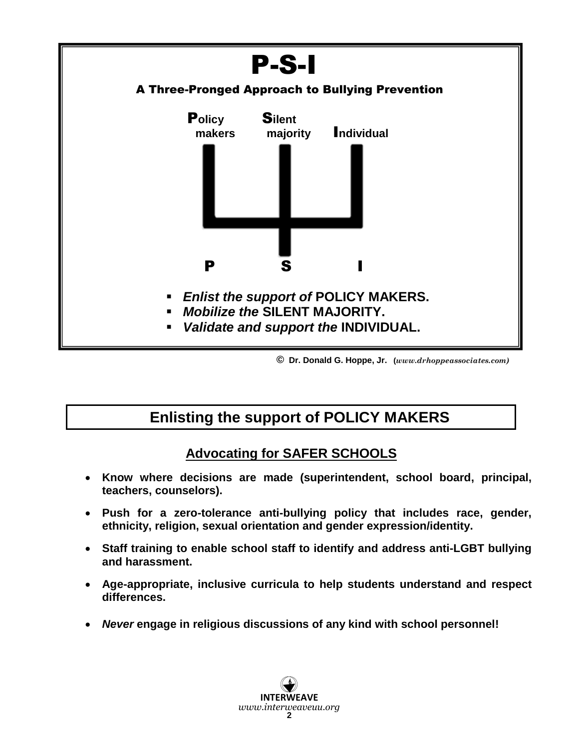

 **© Dr. Donald G. Hoppe, Jr. (***[www.drhoppeassociates.com\)](http://www.drhoppeassociates.com/)*

## **Enlisting the support of POLICY MAKERS**

### **Advocating for SAFER SCHOOLS**

- **Know where decisions are made (superintendent, school board, principal, teachers, counselors).**
- **Push for a zero-tolerance anti-bullying policy that includes race, gender, ethnicity, religion, sexual orientation and gender expression/identity.**
- **Staff training to enable school staff to identify and address anti-LGBT bullying and harassment.**
- **Age-appropriate, inclusive curricula to help students understand and respect differences.**
- *Never* **engage in religious discussions of any kind with school personnel!**

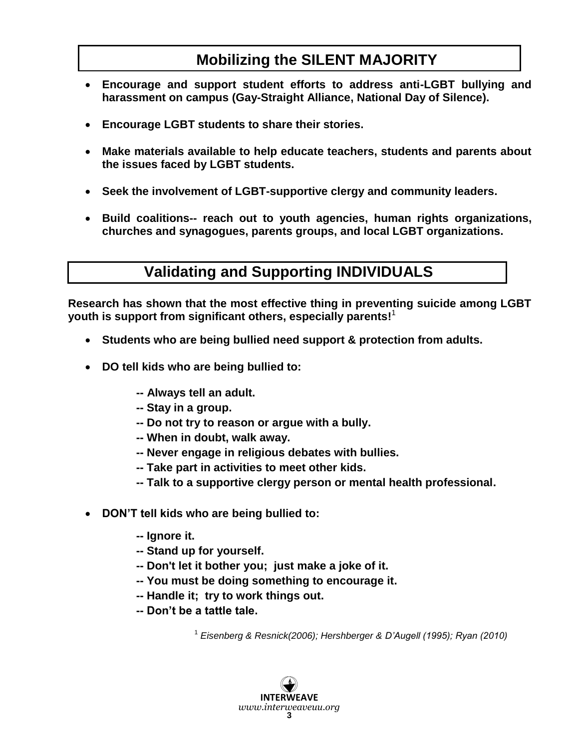# **Mobilizing the SILENT MAJORITY**

- **Encourage and support student efforts to address anti-LGBT bullying and harassment on campus (Gay-Straight Alliance, National Day of Silence).**
- **Encourage LGBT students to share their stories.**
- **Make materials available to help educate teachers, students and parents about the issues faced by LGBT students.**
- **Seek the involvement of LGBT-supportive clergy and community leaders.**
- **Build coalitions-- reach out to youth agencies, human rights organizations, churches and synagogues, parents groups, and local LGBT organizations.**

### **Validating and Supporting INDIVIDUALS**

**Research has shown that the most effective thing in preventing suicide among LGBT youth is support from significant others, especially parents!**<sup>1</sup>

- **Students who are being bullied need support & protection from adults.**
- **DO tell kids who are being bullied to:**
	- **-- Always tell an adult.**
	- **-- Stay in a group.**
	- **-- Do not try to reason or argue with a bully.**
	- **-- When in doubt, walk away.**
	- **-- Never engage in religious debates with bullies.**
	- **-- Take part in activities to meet other kids.**
	- **-- Talk to a supportive clergy person or mental health professional.**
- **DON'T tell kids who are being bullied to:**
	- **-- Ignore it.**
	- **-- Stand up for yourself.**
	- **-- Don't let it bother you; just make a joke of it.**
	- **-- You must be doing something to encourage it.**
	- **-- Handle it; try to work things out.**
	- **-- Don't be a tattle tale.**

1 *Eisenberg & Resnick(2006); Hershberger & D'Augell (1995); Ryan (2010)*